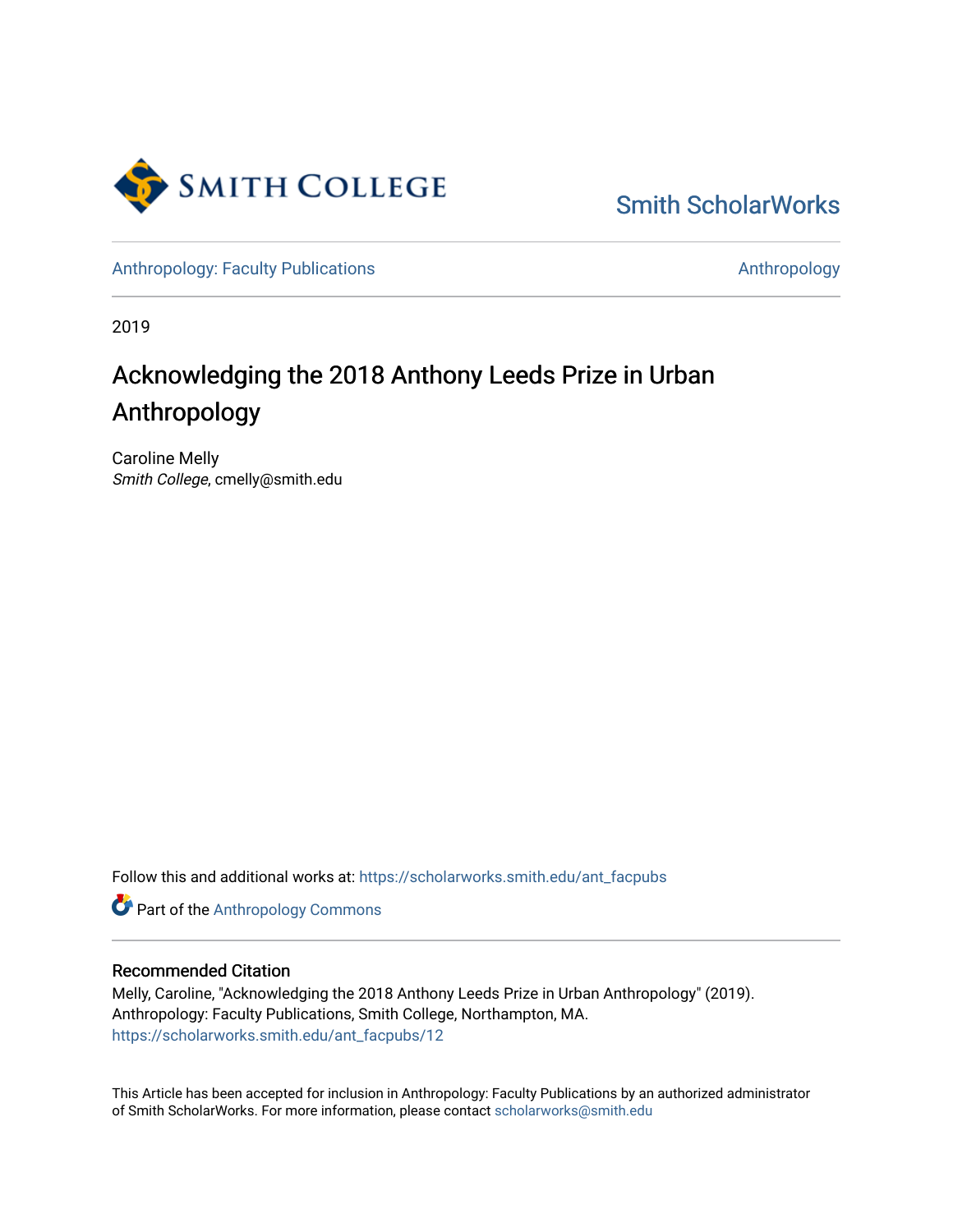

[Smith ScholarWorks](https://scholarworks.smith.edu/) 

[Anthropology: Faculty Publications](https://scholarworks.smith.edu/ant_facpubs) [Anthropology](https://scholarworks.smith.edu/ant) Anthropology

2019

## Acknowledging the 2018 Anthony Leeds Prize in Urban Anthropology

Caroline Melly Smith College, cmelly@smith.edu

Follow this and additional works at: [https://scholarworks.smith.edu/ant\\_facpubs](https://scholarworks.smith.edu/ant_facpubs?utm_source=scholarworks.smith.edu%2Fant_facpubs%2F12&utm_medium=PDF&utm_campaign=PDFCoverPages) 

Part of the [Anthropology Commons](https://network.bepress.com/hgg/discipline/318?utm_source=scholarworks.smith.edu%2Fant_facpubs%2F12&utm_medium=PDF&utm_campaign=PDFCoverPages)

## Recommended Citation

Melly, Caroline, "Acknowledging the 2018 Anthony Leeds Prize in Urban Anthropology" (2019). Anthropology: Faculty Publications, Smith College, Northampton, MA. [https://scholarworks.smith.edu/ant\\_facpubs/12](https://scholarworks.smith.edu/ant_facpubs/12?utm_source=scholarworks.smith.edu%2Fant_facpubs%2F12&utm_medium=PDF&utm_campaign=PDFCoverPages)

This Article has been accepted for inclusion in Anthropology: Faculty Publications by an authorized administrator of Smith ScholarWorks. For more information, please contact [scholarworks@smith.edu](mailto:scholarworks@smith.edu)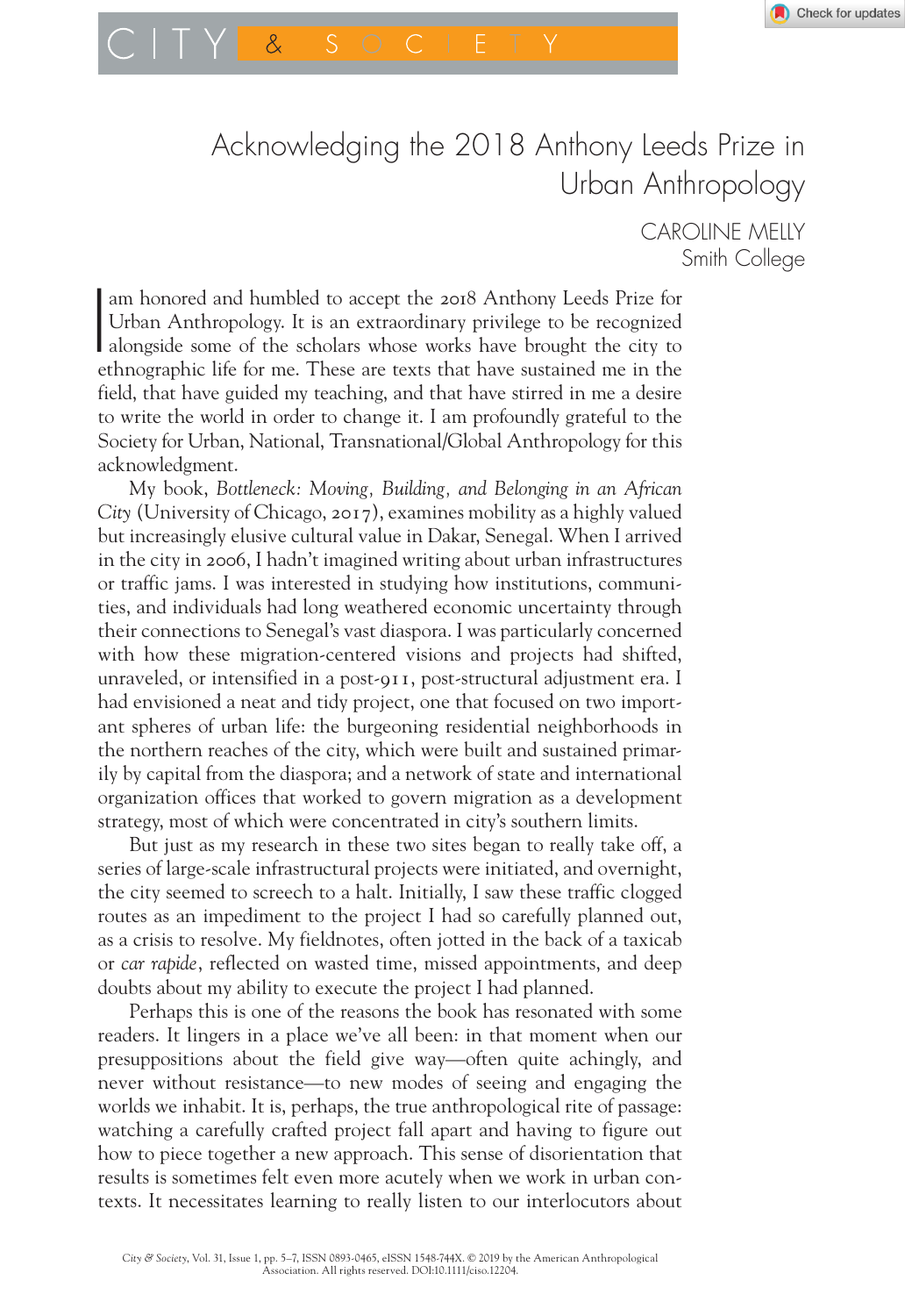

## $\delta$ Y

Acknowledging the 2018 Anthony Leeds Prize in Urban Anthropology

> CAROLINE MELLY Smith College

I am honored and humbled to accept the 2018 Anthony Leeds Prize for Urban Anthropology. It is an extraordinary privilege to be recognized alongside some of the scholars whose works have brought the city to ethnographic lif Urban Anthropology. It is an extraordinary privilege to be recognized alongside some of the scholars whose works have brought the city to ethnographic life for me. These are texts that have sustained me in the field, that have guided my teaching, and that have stirred in me a desire to write the world in order to change it. I am profoundly grateful to the Society for Urban, National, Transnational/Global Anthropology for this acknowledgment.

My book, *Bottleneck: Moving, Building, and Belonging in an African City* (University of Chicago, 2017), examines mobility as a highly valued but increasingly elusive cultural value in Dakar, Senegal. When I arrived in the city in 2006, I hadn't imagined writing about urban infrastructures or traffic jams. I was interested in studying how institutions, communities, and individuals had long weathered economic uncertainty through their connections to Senegal's vast diaspora. I was particularly concerned with how these migration-centered visions and projects had shifted, unraveled, or intensified in a post-911, post-structural adjustment era. I had envisioned a neat and tidy project, one that focused on two important spheres of urban life: the burgeoning residential neighborhoods in the northern reaches of the city, which were built and sustained primarily by capital from the diaspora; and a network of state and international organization offices that worked to govern migration as a development strategy, most of which were concentrated in city's southern limits.

But just as my research in these two sites began to really take off, a series of large-scale infrastructural projects were initiated, and overnight, the city seemed to screech to a halt. Initially, I saw these traffic clogged routes as an impediment to the project I had so carefully planned out, as a crisis to resolve. My fieldnotes, often jotted in the back of a taxicab or *car rapide*, reflected on wasted time, missed appointments, and deep doubts about my ability to execute the project I had planned.

Perhaps this is one of the reasons the book has resonated with some readers. It lingers in a place we've all been: in that moment when our presuppositions about the field give way—often quite achingly, and never without resistance—to new modes of seeing and engaging the worlds we inhabit. It is, perhaps, the true anthropological rite of passage: watching a carefully crafted project fall apart and having to figure out how to piece together a new approach. This sense of disorientation that results is sometimes felt even more acutely when we work in urban contexts. It necessitates learning to really listen to our interlocutors about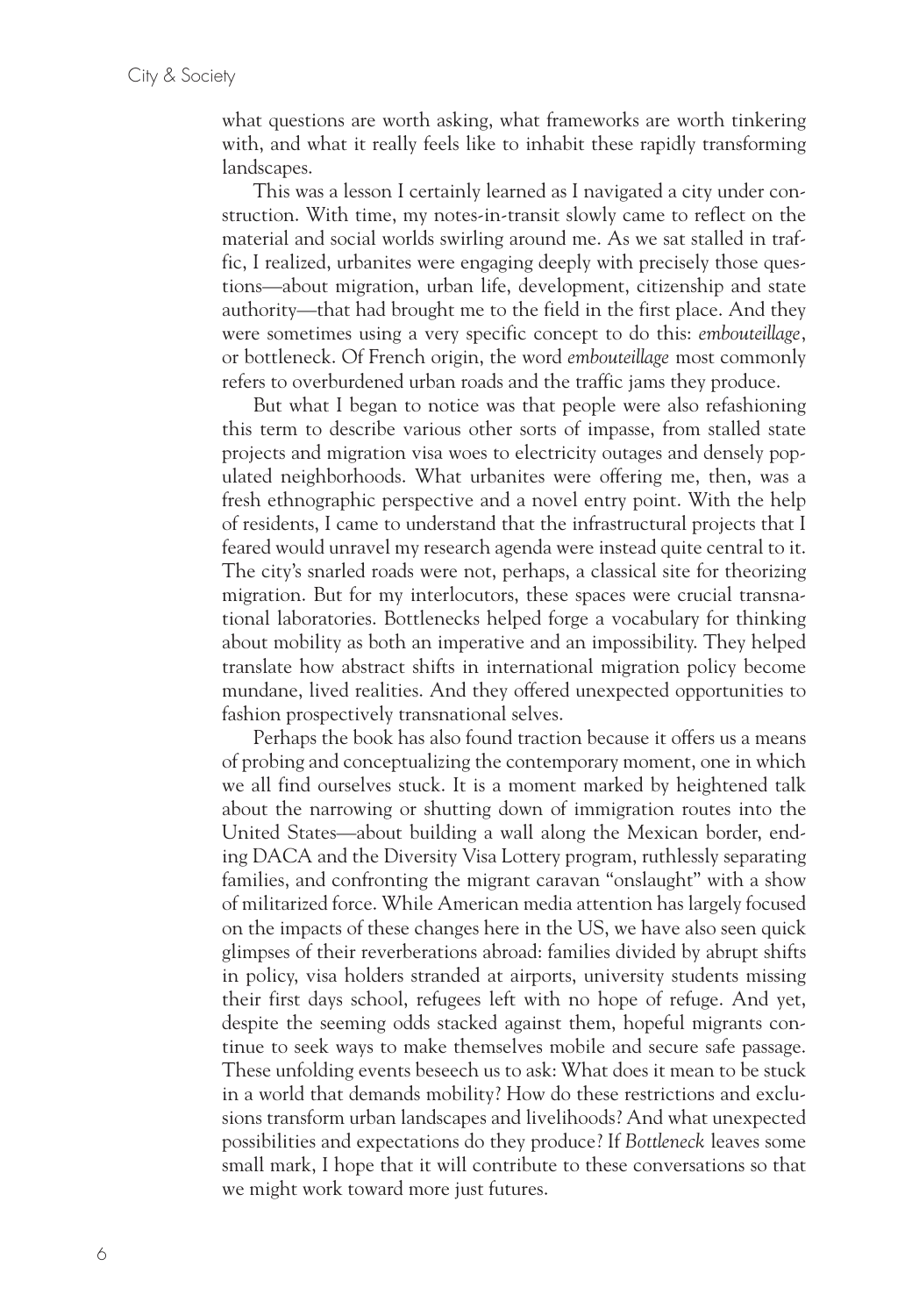what questions are worth asking, what frameworks are worth tinkering with, and what it really feels like to inhabit these rapidly transforming landscapes.

This was a lesson I certainly learned as I navigated a city under construction. With time, my notes-in-transit slowly came to reflect on the material and social worlds swirling around me. As we sat stalled in traffic, I realized, urbanites were engaging deeply with precisely those questions—about migration, urban life, development, citizenship and state authority—that had brought me to the field in the first place. And they were sometimes using a very specific concept to do this: *embouteillage*, or bottleneck. Of French origin, the word *embouteillage* most commonly refers to overburdened urban roads and the traffic jams they produce.

But what I began to notice was that people were also refashioning this term to describe various other sorts of impasse, from stalled state projects and migration visa woes to electricity outages and densely populated neighborhoods. What urbanites were offering me, then, was a fresh ethnographic perspective and a novel entry point. With the help of residents, I came to understand that the infrastructural projects that I feared would unravel my research agenda were instead quite central to it. The city's snarled roads were not, perhaps, a classical site for theorizing migration. But for my interlocutors, these spaces were crucial transnational laboratories. Bottlenecks helped forge a vocabulary for thinking about mobility as both an imperative and an impossibility. They helped translate how abstract shifts in international migration policy become mundane, lived realities. And they offered unexpected opportunities to fashion prospectively transnational selves.

Perhaps the book has also found traction because it offers us a means of probing and conceptualizing the contemporary moment, one in which we all find ourselves stuck. It is a moment marked by heightened talk about the narrowing or shutting down of immigration routes into the United States—about building a wall along the Mexican border, ending DACA and the Diversity Visa Lottery program, ruthlessly separating families, and confronting the migrant caravan "onslaught" with a show of militarized force. While American media attention has largely focused on the impacts of these changes here in the US, we have also seen quick glimpses of their reverberations abroad: families divided by abrupt shifts in policy, visa holders stranded at airports, university students missing their first days school, refugees left with no hope of refuge. And yet, despite the seeming odds stacked against them, hopeful migrants continue to seek ways to make themselves mobile and secure safe passage. These unfolding events beseech us to ask: What does it mean to be stuck in a world that demands mobility? How do these restrictions and exclusions transform urban landscapes and livelihoods? And what unexpected possibilities and expectations do they produce? If *Bottleneck* leaves some small mark, I hope that it will contribute to these conversations so that we might work toward more just futures.